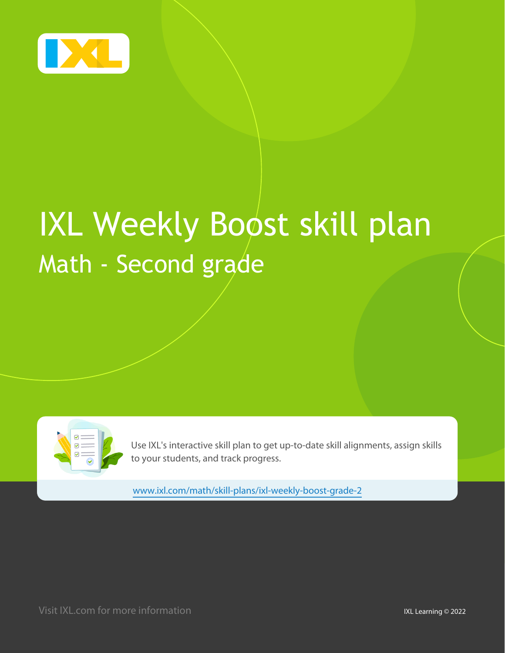

# **IXL Weekly Boost skill plan** Math - Second grade



Use IXL's interactive skill plan to get up-to-date skill alignments, assign skills to your students, and track progress.

www.ixl.com/math/skill-plans/ixl-weekly-boost-grade-2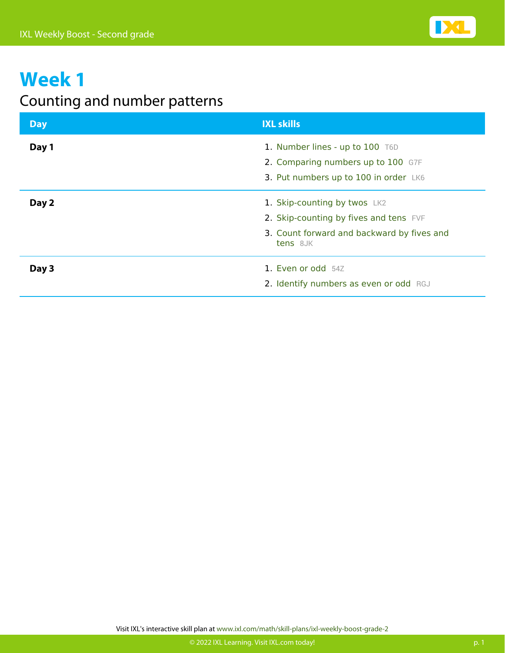

#### Counting and number patterns

| <b>Day</b> | <b>IXL skills</b>                                                     |
|------------|-----------------------------------------------------------------------|
| Day 1      | 1. Number lines - up to 100 T6D<br>2. Comparing numbers up to 100 G7F |
|            | 3. Put numbers up to 100 in order LK6                                 |
| Day 2      | 1. Skip-counting by twos LK2                                          |
|            | 2. Skip-counting by fives and tens FVF                                |
|            | 3. Count forward and backward by fives and<br>tens 8JK                |
| Day 3      | 1. Even or odd 54Z                                                    |
|            | 2. Identify numbers as even or odd RGJ                                |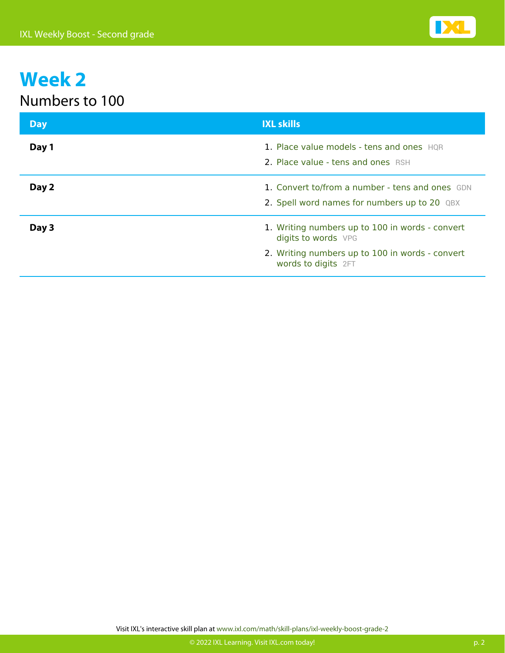

#### Numbers to 100

| <b>Day</b> | <b>IXL skills</b>                                                                                                                                |
|------------|--------------------------------------------------------------------------------------------------------------------------------------------------|
| Day 1      | 1. Place value models - tens and ones HOR<br>2. Place value - tens and ones RSH                                                                  |
| Day 2      | 1. Convert to/from a number - tens and ones GDN<br>2. Spell word names for numbers up to 20 QBX                                                  |
| Day 3      | 1. Writing numbers up to 100 in words - convert<br>digits to words VPG<br>2. Writing numbers up to 100 in words - convert<br>words to digits 2FT |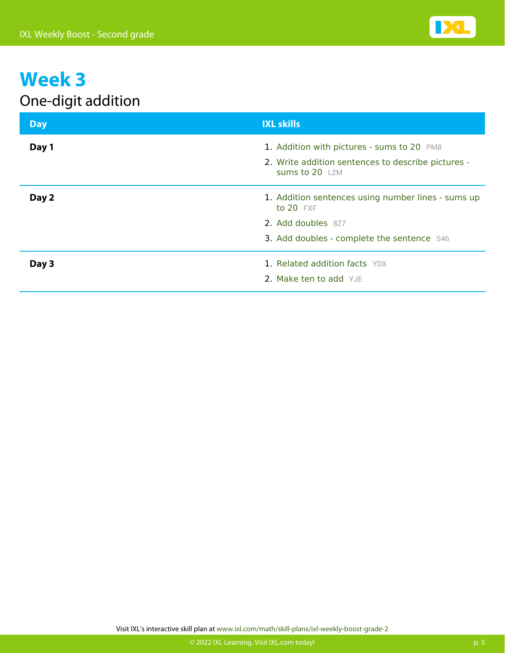

#### One-digit addition

| <b>Day</b> | <b>IXL skills</b>                                                                                                  |
|------------|--------------------------------------------------------------------------------------------------------------------|
| Day 1      | 1. Addition with pictures - sums to 20 PM8<br>2. Write addition sentences to describe pictures -<br>Sums to 20 L2M |
| Day 2      | 1. Addition sentences using number lines - sums up<br>to 20 FXF                                                    |
|            | 2. Add doubles 8Z7                                                                                                 |
|            | 3. Add doubles - complete the sentence S46                                                                         |
| Day 3      | 1. Related addition facts YDX<br>2. Make ten to add YJE                                                            |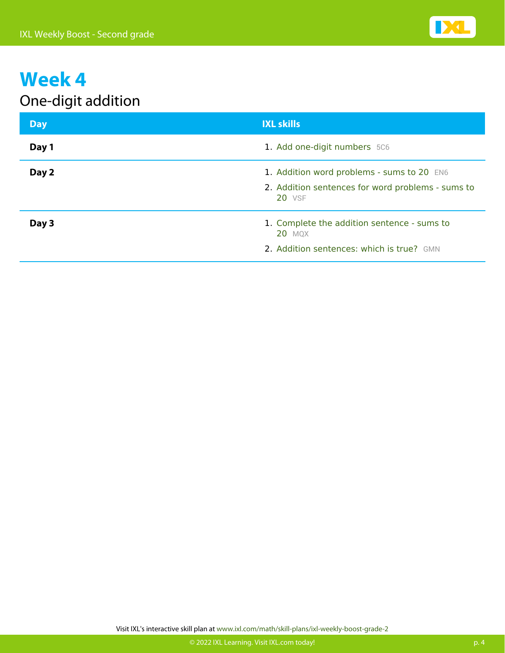

#### One-digit addition

| <b>Day</b> | <b>IXL skills</b>                                                                                                |
|------------|------------------------------------------------------------------------------------------------------------------|
| Day 1      | 1. Add one-digit numbers 5C6                                                                                     |
| Day 2      | 1. Addition word problems - sums to 20 EN6<br>2. Addition sentences for word problems - sums to<br><b>20 VSF</b> |
| Day 3      | 1. Complete the addition sentence - sums to<br><b>20 MQX</b><br>2. Addition sentences: which is true? GMN        |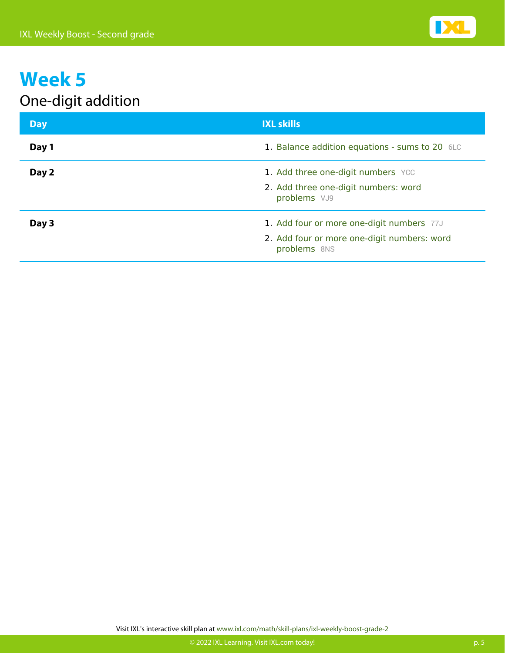

#### One-digit addition

| <b>Day</b> | <b>IXL skills</b>                                                          |
|------------|----------------------------------------------------------------------------|
| Day 1      | 1. Balance addition equations - sums to 20 6LC                             |
| Day 2      | 1. Add three one-digit numbers YCC<br>2. Add three one-digit numbers: word |
|            | problems VJ9                                                               |
| Day 3      | 1. Add four or more one-digit numbers 77J                                  |
|            | 2. Add four or more one-digit numbers: word<br>problems 8NS                |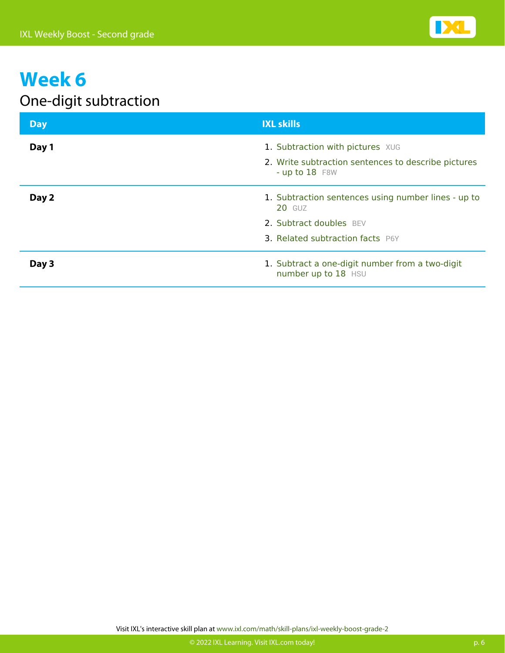

#### One-digit subtraction

| <b>Day</b> | <b>IXL skills</b>                                                       |
|------------|-------------------------------------------------------------------------|
| Day 1      | 1. Subtraction with pictures XUG                                        |
|            | 2. Write subtraction sentences to describe pictures<br>- up to $18$ F8W |
| Day 2      | 1. Subtraction sentences using number lines - up to<br><b>20 GUZ</b>    |
|            | 2. Subtract doubles BEV                                                 |
|            | <b>3. Related subtraction facts P6Y</b>                                 |
| Day 3      | 1. Subtract a one-digit number from a two-digit<br>number up to 18 HSU  |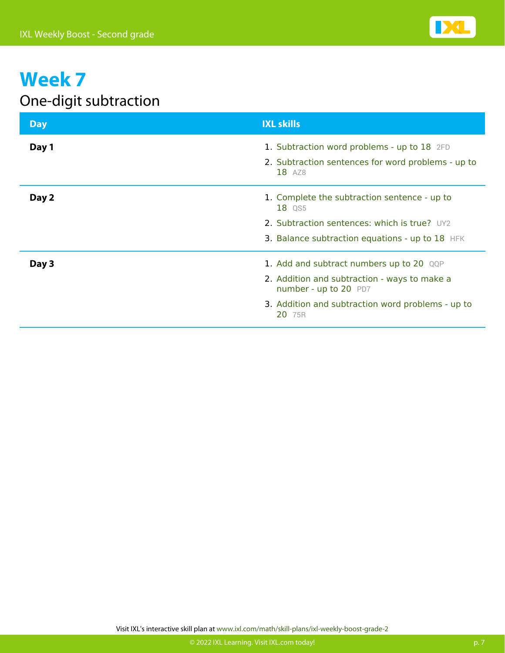

#### One-digit subtraction

| <b>Day</b> | <b>IXL skills</b>                                                                                                                                                                |
|------------|----------------------------------------------------------------------------------------------------------------------------------------------------------------------------------|
| Day 1      | 1. Subtraction word problems - up to 18 2FD<br>2. Subtraction sentences for word problems - up to<br>18 AZ8                                                                      |
| Day 2      | 1. Complete the subtraction sentence - up to<br>18 QS5<br>2. Subtraction sentences: which is true? UY2<br>3. Balance subtraction equations - up to 18 HFK                        |
| Day 3      | 1. Add and subtract numbers up to 20 QQP<br>2. Addition and subtraction - ways to make a<br>number - up to 20 PD7<br>3. Addition and subtraction word problems - up to<br>20 75R |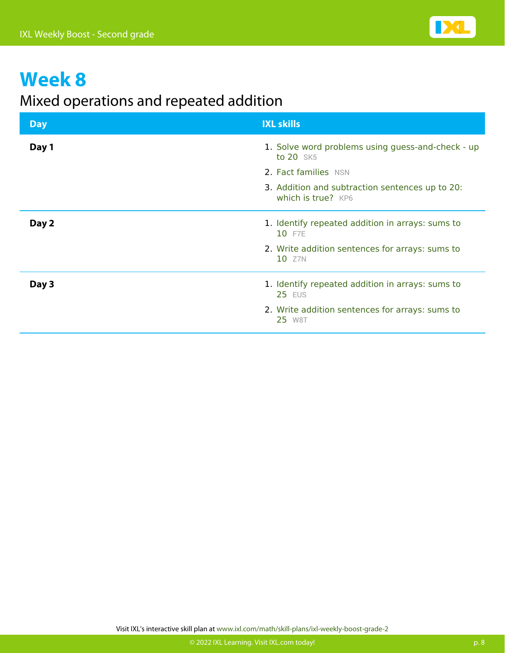

#### Mixed operations and repeated addition

| <b>Day</b> | <b>IXL skills</b>                                                     |
|------------|-----------------------------------------------------------------------|
| Day 1      | 1. Solve word problems using guess-and-check - up<br>to 20 SK5        |
|            | 2. Fact families NSN                                                  |
|            | 3. Addition and subtraction sentences up to 20:<br>which is true? KP6 |
| Day 2      | 1. Identify repeated addition in arrays: sums to<br>10 F7E            |
|            | 2. Write addition sentences for arrays: sums to<br>10 Z7N             |
| Day 3      | 1. Identify repeated addition in arrays: sums to<br><b>25 EUS</b>     |
|            | 2. Write addition sentences for arrays: sums to<br>25 W8T             |

**IX**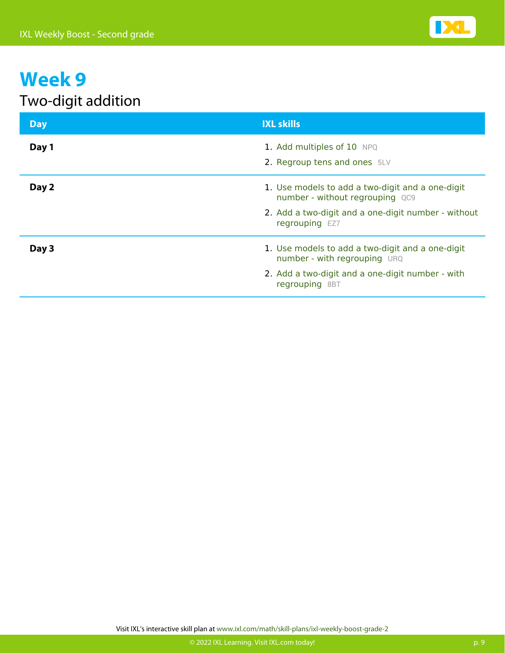

#### Two-digit addition

| <b>Day</b> | <b>IXL skills</b>                                                                                                                                            |
|------------|--------------------------------------------------------------------------------------------------------------------------------------------------------------|
| Day 1      | 1. Add multiples of 10 NPQ<br>2. Regroup tens and ones 5LV                                                                                                   |
| Day 2      | 1. Use models to add a two-digit and a one-digit<br>number - without regrouping QC9<br>2. Add a two-digit and a one-digit number - without<br>regrouping EZ7 |
| Day 3      | 1. Use models to add a two-digit and a one-digit<br>number - with regrouping URQ<br>2. Add a two-digit and a one-digit number - with<br>regrouping 8BT       |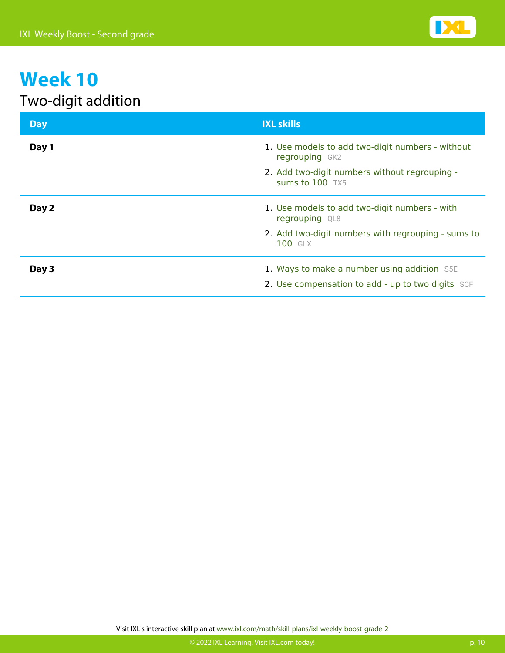

#### Two-digit addition

| <b>Day</b> | <b>IXL skills</b>                                                  |
|------------|--------------------------------------------------------------------|
| Day 1      | 1. Use models to add two-digit numbers - without<br>regrouping GK2 |
|            | 2. Add two-digit numbers without regrouping -<br>sums to $100$ TX5 |
| Day 2      | 1. Use models to add two-digit numbers - with<br>regrouping QL8    |
|            | 2. Add two-digit numbers with regrouping - sums to<br>100 GLX      |
| Day 3      | 1. Ways to make a number using addition S5E                        |
|            | 2. Use compensation to add - up to two digits SCF                  |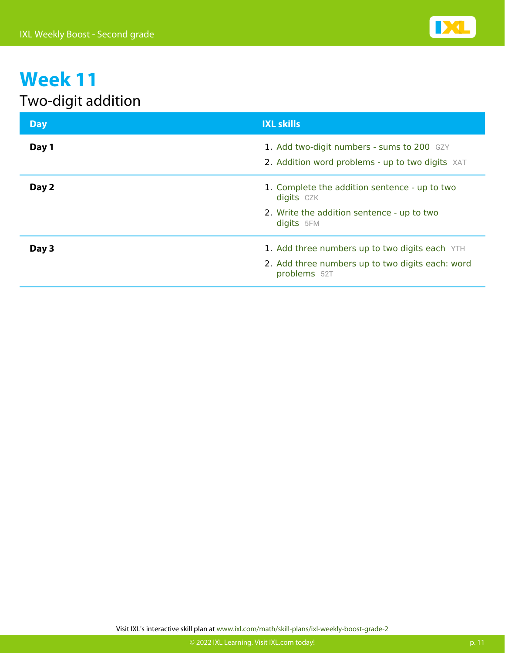

#### Two-digit addition

| <b>Day</b> | <b>IXL skills</b>                                                                              |
|------------|------------------------------------------------------------------------------------------------|
| Day 1      | 1. Add two-digit numbers - sums to 200 GZY<br>2. Addition word problems - up to two digits XAT |
| Day 2      | 1. Complete the addition sentence - up to two<br>digits CZK                                    |
|            | 2. Write the addition sentence - up to two<br>digits 5FM                                       |
| Day 3      | 1. Add three numbers up to two digits each YTH                                                 |
|            | 2. Add three numbers up to two digits each: word<br>problems 52T                               |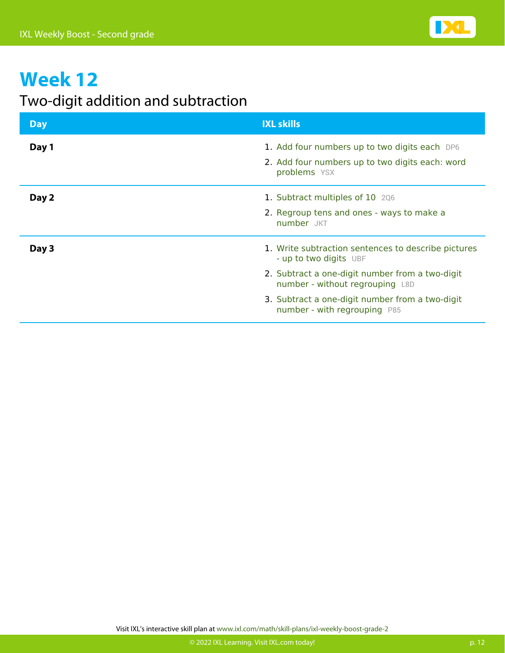

#### Two-digit addition and subtraction

| <b>Day</b> | <b>IXL skills</b>                                                                                                                                                                                                                                      |
|------------|--------------------------------------------------------------------------------------------------------------------------------------------------------------------------------------------------------------------------------------------------------|
| Day 1      | 1. Add four numbers up to two digits each DP6<br>2. Add four numbers up to two digits each: word<br>problems YSX                                                                                                                                       |
| Day 2      | 1. Subtract multiples of 10 206<br>2. Regroup tens and ones - ways to make a<br>number JKT                                                                                                                                                             |
| Day 3      | 1. Write subtraction sentences to describe pictures<br>- up to two digits UBF<br>2. Subtract a one-digit number from a two-digit<br>number - without regrouping L8D<br>3. Subtract a one-digit number from a two-digit<br>number - with regrouping P85 |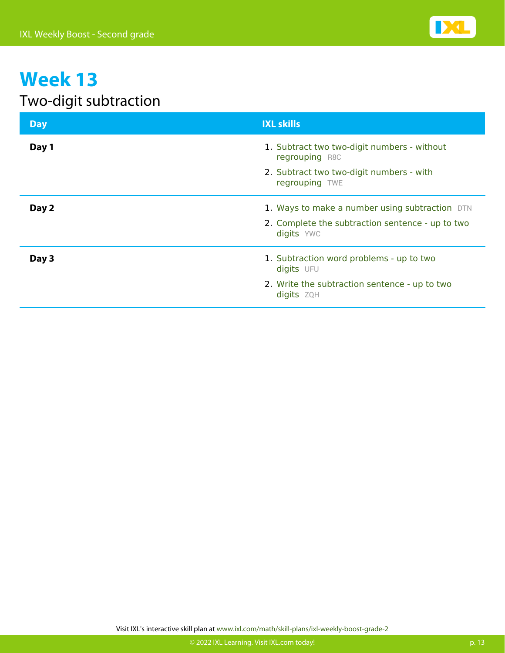

#### Two-digit subtraction

| <b>Day</b> | <b>IXL skills</b>                                              |
|------------|----------------------------------------------------------------|
| Day 1      | 1. Subtract two two-digit numbers - without<br>regrouping R8C  |
|            | 2. Subtract two two-digit numbers - with<br>regrouping TWE     |
| Day 2      | 1. Ways to make a number using subtraction DTN                 |
|            | 2. Complete the subtraction sentence - up to two<br>digits YWC |
| Day 3      | 1. Subtraction word problems - up to two<br>digits UFU         |
|            | 2. Write the subtraction sentence - up to two<br>digits ZQH    |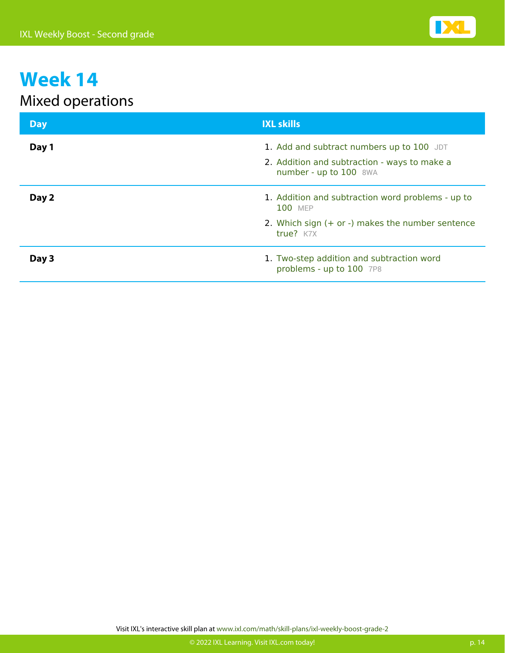

#### Mixed operations

| <b>Day</b> | <b>IXL skills</b>                                                                                                   |
|------------|---------------------------------------------------------------------------------------------------------------------|
| Day 1      | 1. Add and subtract numbers up to 100 JDT<br>2. Addition and subtraction - ways to make a<br>number - up to 100 8WA |
| Day 2      | 1. Addition and subtraction word problems - up to<br><b>100 MEP</b>                                                 |
|            | 2. Which sign $(+)$ or $-)$ makes the number sentence<br>true? K7X                                                  |
| Day 3      | 1. Two-step addition and subtraction word<br>problems - up to 100 7P8                                               |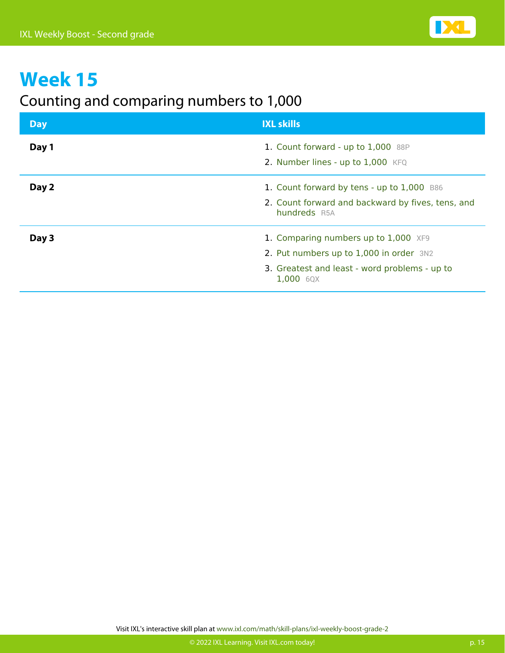

#### Counting and comparing numbers to 1,000

| <b>Day</b> | <b>IXL skills</b>                                                                                                                             |
|------------|-----------------------------------------------------------------------------------------------------------------------------------------------|
| Day 1      | 1. Count forward - up to 1,000 88P<br>2. Number lines - up to 1,000 KFQ                                                                       |
| Day 2      | 1. Count forward by tens - up to 1,000 B86<br>2. Count forward and backward by fives, tens, and<br>hundreds R5A                               |
| Day 3      | 1. Comparing numbers up to 1,000 XF9<br>2. Put numbers up to 1,000 in order 3N2<br>3. Greatest and least - word problems - up to<br>1,000 6QX |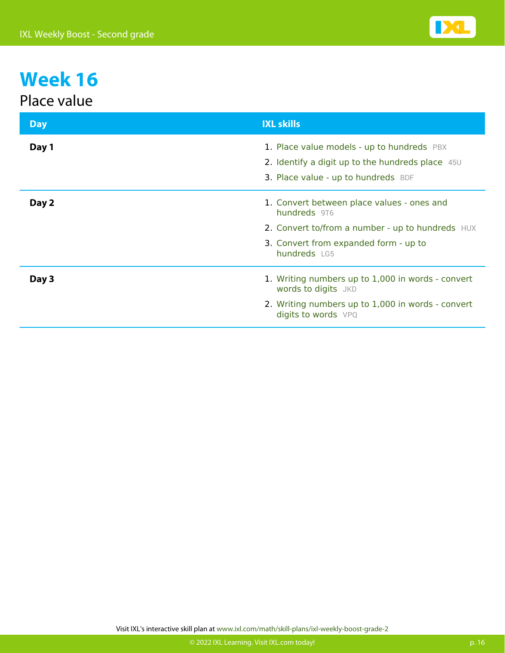#### Place value

| <b>Day</b> | <b>IXL skills</b>                                                                                                                                                       |
|------------|-------------------------------------------------------------------------------------------------------------------------------------------------------------------------|
| Day 1      | 1. Place value models - up to hundreds PBX<br>2. Identify a digit up to the hundreds place 45U<br>3. Place value - up to hundreds BDF                                   |
| Day 2      | 1. Convert between place values - ones and<br>hundreds 9T6<br>2. Convert to/from a number - up to hundreds HUX<br>3. Convert from expanded form - up to<br>hundreds LG5 |
| Day 3      | 1. Writing numbers up to 1,000 in words - convert<br><b>words to digits</b> JKD<br>2. Writing numbers up to 1,000 in words - convert<br>digits to words VPQ             |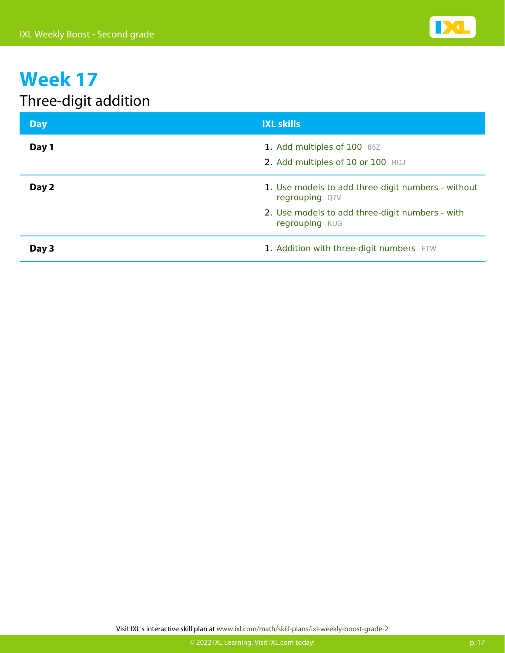

#### Three-digit addition

| <b>Day</b> | <b>IXL skills</b>                                                    |
|------------|----------------------------------------------------------------------|
| Day 1      | 1. Add multiples of 100 85Z<br>2. Add multiples of 10 or 100 RCJ     |
| Day 2      | 1. Use models to add three-digit numbers - without<br>regrouping Q7V |
|            | 2. Use models to add three-digit numbers - with<br>regrouping KUG    |
| Day 3      | 1. Addition with three-digit numbers ETW                             |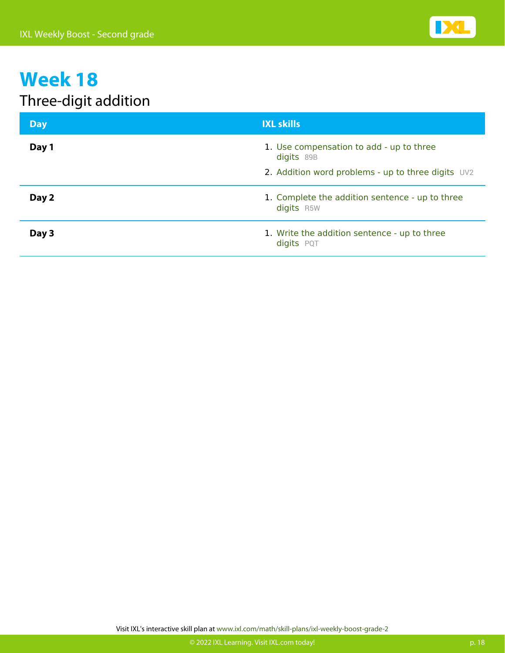

#### Three-digit addition

| <b>Day</b> | <b>IXL skills</b>                                                                                            |
|------------|--------------------------------------------------------------------------------------------------------------|
| Day 1      | 1. Use compensation to add - up to three<br>digits 89B<br>2. Addition word problems - up to three digits UV2 |
| Day 2      | 1. Complete the addition sentence - up to three<br>digits R5W                                                |
| Day 3      | 1. Write the addition sentence - up to three<br>digits PQT                                                   |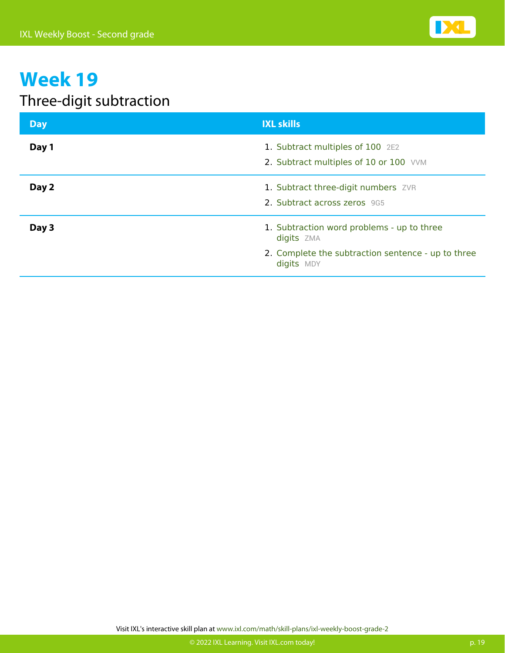

#### Three-digit subtraction

| <b>Day</b> | <b>IXL skills</b>                                                                                                            |
|------------|------------------------------------------------------------------------------------------------------------------------------|
| Day 1      | 1. Subtract multiples of 100 2E2<br>2. Subtract multiples of 10 or 100 VVM                                                   |
| Day 2      | 1. Subtract three-digit numbers ZVR<br>2. Subtract across zeros 9G5                                                          |
| Day 3      | 1. Subtraction word problems - up to three<br>digits ZMA<br>2. Complete the subtraction sentence - up to three<br>digits MDY |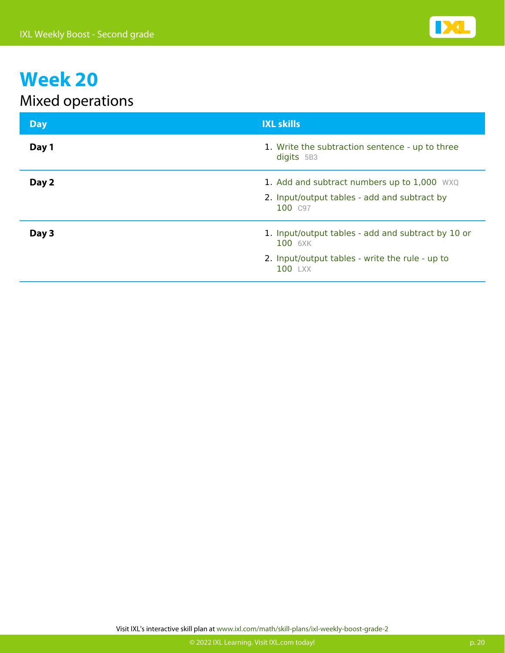

#### Mixed operations

| <b>Day</b> | <b>IXL skills</b>                                                                                                           |
|------------|-----------------------------------------------------------------------------------------------------------------------------|
| Day 1      | 1. Write the subtraction sentence - up to three<br>digits 5B3                                                               |
| Day 2      | 1. Add and subtract numbers up to 1,000 WXQ<br>2. Input/output tables - add and subtract by<br>100 C97                      |
| Day 3      | 1. Input/output tables - add and subtract by 10 or<br>100 6XK<br>2. Input/output tables - write the rule - up to<br>100 LXX |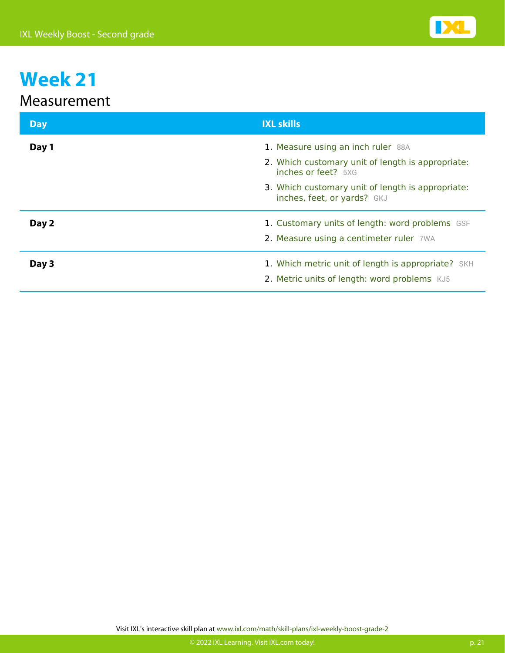

#### Measurement

| <b>Day</b> | <b>IXL skills</b>                                                                                                                                                                                  |
|------------|----------------------------------------------------------------------------------------------------------------------------------------------------------------------------------------------------|
| Day 1      | 1. Measure using an inch ruler 88A<br>2. Which customary unit of length is appropriate:<br>inches or feet? 5XG<br>3. Which customary unit of length is appropriate:<br>inches, feet, or yards? GKJ |
| Day 2      | 1. Customary units of length: word problems GSF<br>2. Measure using a centimeter ruler 7WA                                                                                                         |
| Day 3      | 1. Which metric unit of length is appropriate? SKH<br>2. Metric units of length: word problems KJ5                                                                                                 |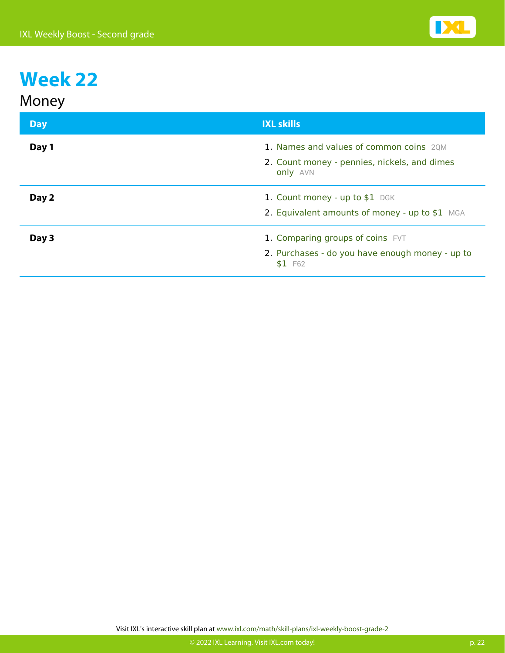| Money |  |
|-------|--|
|-------|--|

| <b>Day</b> | <b>IXL skills</b>                                                                                   |
|------------|-----------------------------------------------------------------------------------------------------|
| Day 1      | 1. Names and values of common coins 20M<br>2. Count money - pennies, nickels, and dimes<br>only AVN |
| Day 2      | 1. Count money - up to \$1 DGK<br>2. Equivalent amounts of money - up to \$1 MGA                    |
| Day 3      | 1. Comparing groups of coins FVT<br>2. Purchases - do you have enough money - up to<br>$$1$ F62     |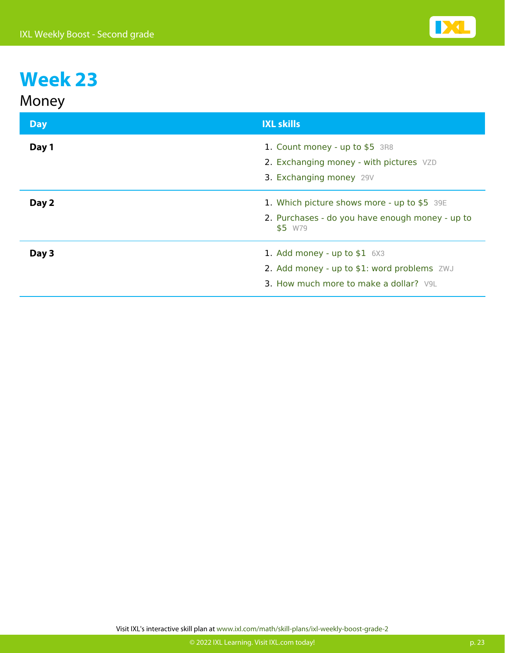| <b>IXL skills</b>                                                                                                      |
|------------------------------------------------------------------------------------------------------------------------|
| 1. Count money - up to \$5 3R8<br>2. Exchanging money - with pictures VZD<br>3. Exchanging money 29V                   |
| 1. Which picture shows more - up to \$5 39E<br>2. Purchases - do you have enough money - up to<br>\$5 W79              |
| 1. Add money - up to $$1$ 6X3<br>2. Add money - up to \$1: word problems ZWJ<br>3. How much more to make a dollar? V9L |
|                                                                                                                        |

Visit IXL's interactive skill plan at www.ixl.com/math/skill-plans/ixl-weekly-boost-grade-2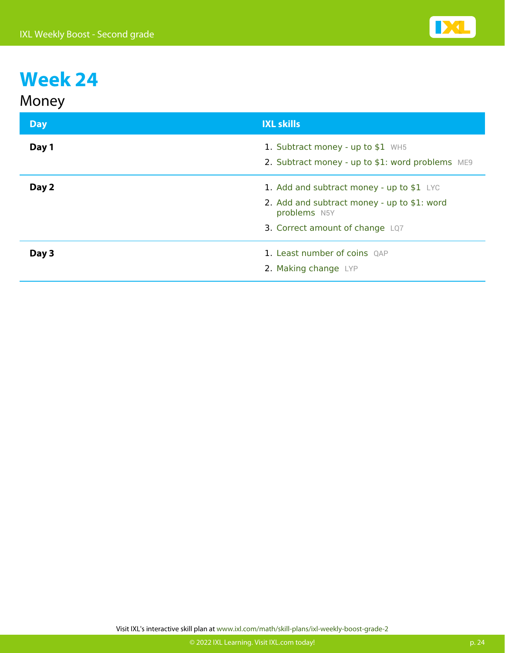| Money      |                                                                                                                                              |
|------------|----------------------------------------------------------------------------------------------------------------------------------------------|
| <b>Day</b> | <b>IXL skills</b>                                                                                                                            |
| Day 1      | 1. Subtract money - up to \$1 WH5<br>2. Subtract money - up to \$1: word problems ME9                                                        |
| Day 2      | 1. Add and subtract money - up to $$1$ LYC<br>2. Add and subtract money - up to \$1: word<br>problems N5Y<br>3. Correct amount of change LQ7 |
| Day 3      | 1. Least number of coins QAP<br>2. Making change LYP                                                                                         |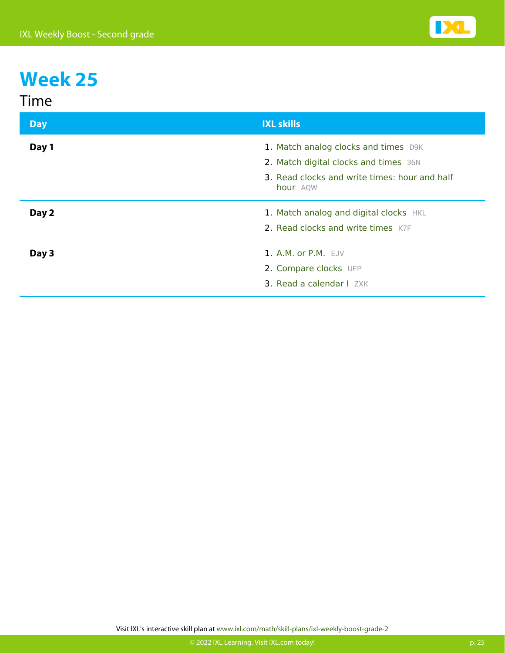| Im |  |
|----|--|
|    |  |

| <b>Day</b> | <b>IXL skills</b>                                         |
|------------|-----------------------------------------------------------|
| Day 1      | 1. Match analog clocks and times D9K                      |
|            | 2. Match digital clocks and times 36N                     |
|            | 3. Read clocks and write times: hour and half<br>hour AQW |
| Day 2      | 1. Match analog and digital clocks HKL                    |
|            | 2. Read clocks and write times K7F                        |
| Day 3      | 1. A.M. or $P.M.$ EJV                                     |
|            | 2. Compare clocks UFP                                     |
|            | 3. Read a calendar I ZXK                                  |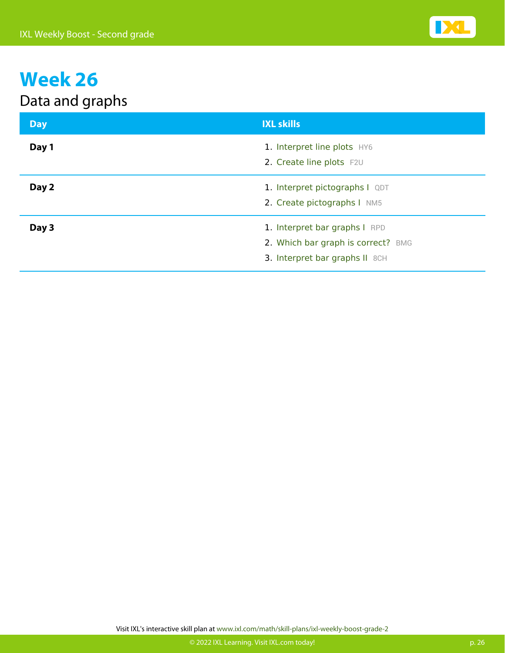#### Data and graphs

| <b>Day</b> | <b>IXL skills</b>                                                                                     |
|------------|-------------------------------------------------------------------------------------------------------|
| Day 1      | 1. Interpret line plots HY6<br>2. Create line plots F2U                                               |
| Day 2      | 1. Interpret pictographs I QDT<br>2. Create pictographs I NM5                                         |
| Day 3      | 1. Interpret bar graphs I RPD<br>2. Which bar graph is correct? BMG<br>3. Interpret bar graphs II 8CH |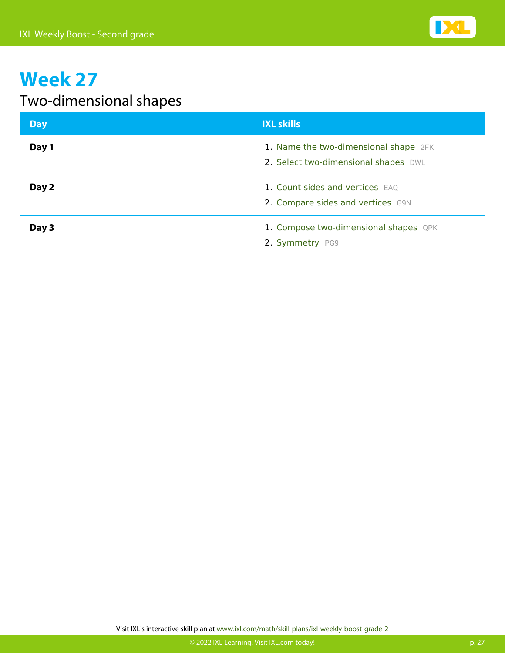

#### Two-dimensional shapes

| <b>Day</b> | <b>IXL skills</b>                                                             |
|------------|-------------------------------------------------------------------------------|
| Day 1      | 1. Name the two-dimensional shape 2FK<br>2. Select two-dimensional shapes DWL |
| Day 2      | 1. Count sides and vertices EAQ<br>2. Compare sides and vertices G9N          |
| Day 3      | 1. Compose two-dimensional shapes QPK<br>2. Symmetry PG9                      |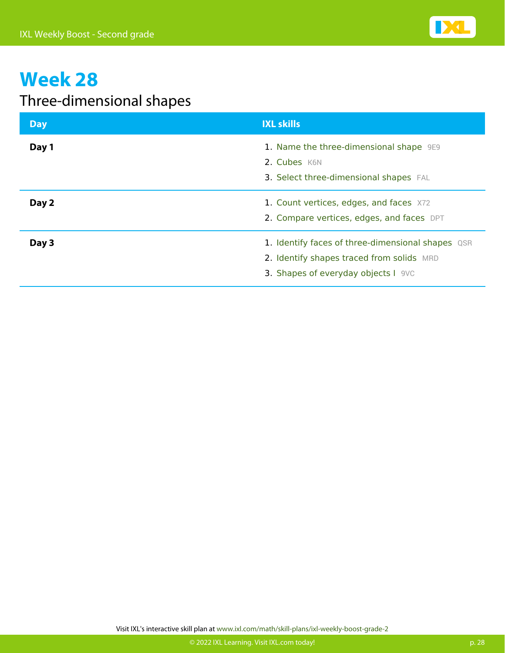

#### Three-dimensional shapes

| <b>Day</b> | <b>IXL skills</b>                                                                                                                     |
|------------|---------------------------------------------------------------------------------------------------------------------------------------|
| Day 1      | 1. Name the three-dimensional shape 9E9<br>2. Cubes K6N<br>3. Select three-dimensional shapes FAL                                     |
| Day 2      | 1. Count vertices, edges, and faces X72<br>2. Compare vertices, edges, and faces DPT                                                  |
| Day 3      | 1. Identify faces of three-dimensional shapes QSR<br>2. Identify shapes traced from solids MRD<br>3. Shapes of everyday objects I 9VC |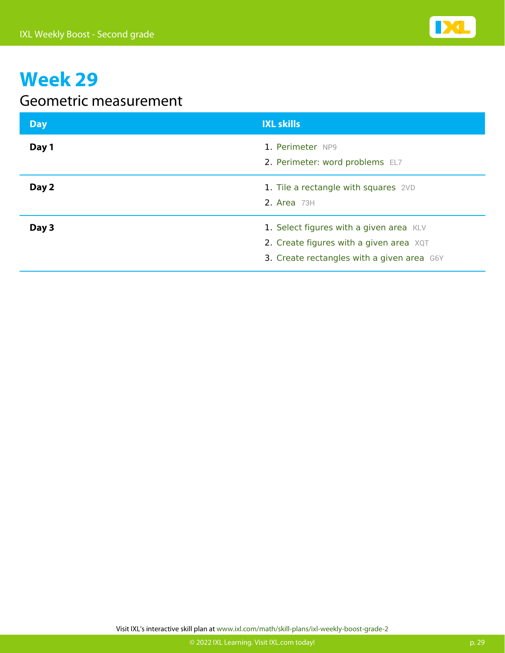

#### Geometric measurement

| <b>Day</b> | <b>IXL skills</b>                                                                                                                  |
|------------|------------------------------------------------------------------------------------------------------------------------------------|
| Day 1      | 1. Perimeter NP9<br>2. Perimeter: word problems EL7                                                                                |
| Day 2      | 1. Tile a rectangle with squares 2VD<br>2. Area $73H$                                                                              |
| Day 3      | 1. Select figures with a given area KLV<br>2. Create figures with a given area $XQT$<br>3. Create rectangles with a given area G6Y |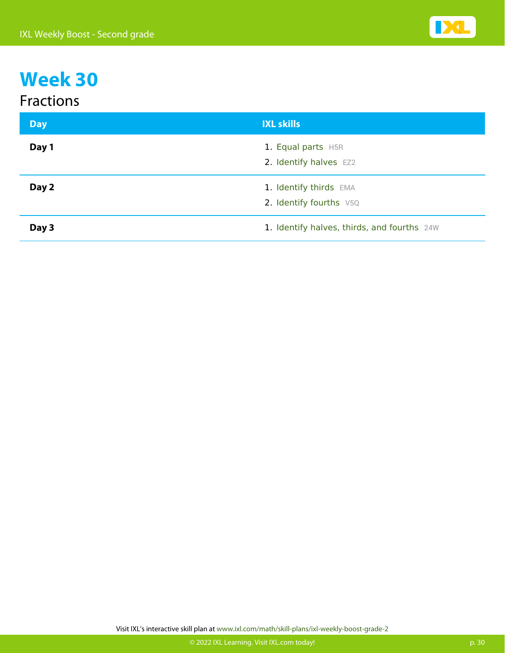#### Fractions

| <b>Day</b> | <b>IXL skills</b>                                 |
|------------|---------------------------------------------------|
| Day 1      | 1. Equal parts H5R<br>2. Identify halves EZ2      |
| Day 2      | 1. Identify thirds EMA<br>2. Identify fourths V5Q |
| Day 3      | 1. Identify halves, thirds, and fourths 24W       |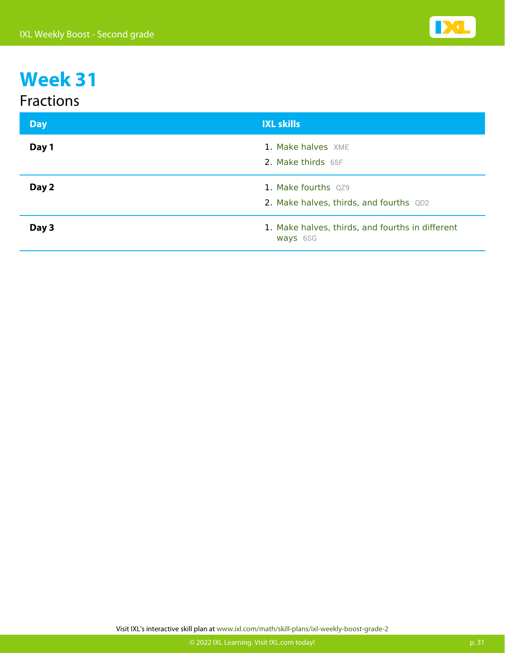#### Fractions

| <b>Day</b> | <b>IXL skills</b>                                              |
|------------|----------------------------------------------------------------|
| Day 1      | 1. Make halves XME<br>2. Make thirds 65F                       |
| Day 2      | 1. Make fourths QZ9<br>2. Make halves, thirds, and fourths QD2 |
| Day 3      | 1. Make halves, thirds, and fourths in different<br>ways 6SG   |